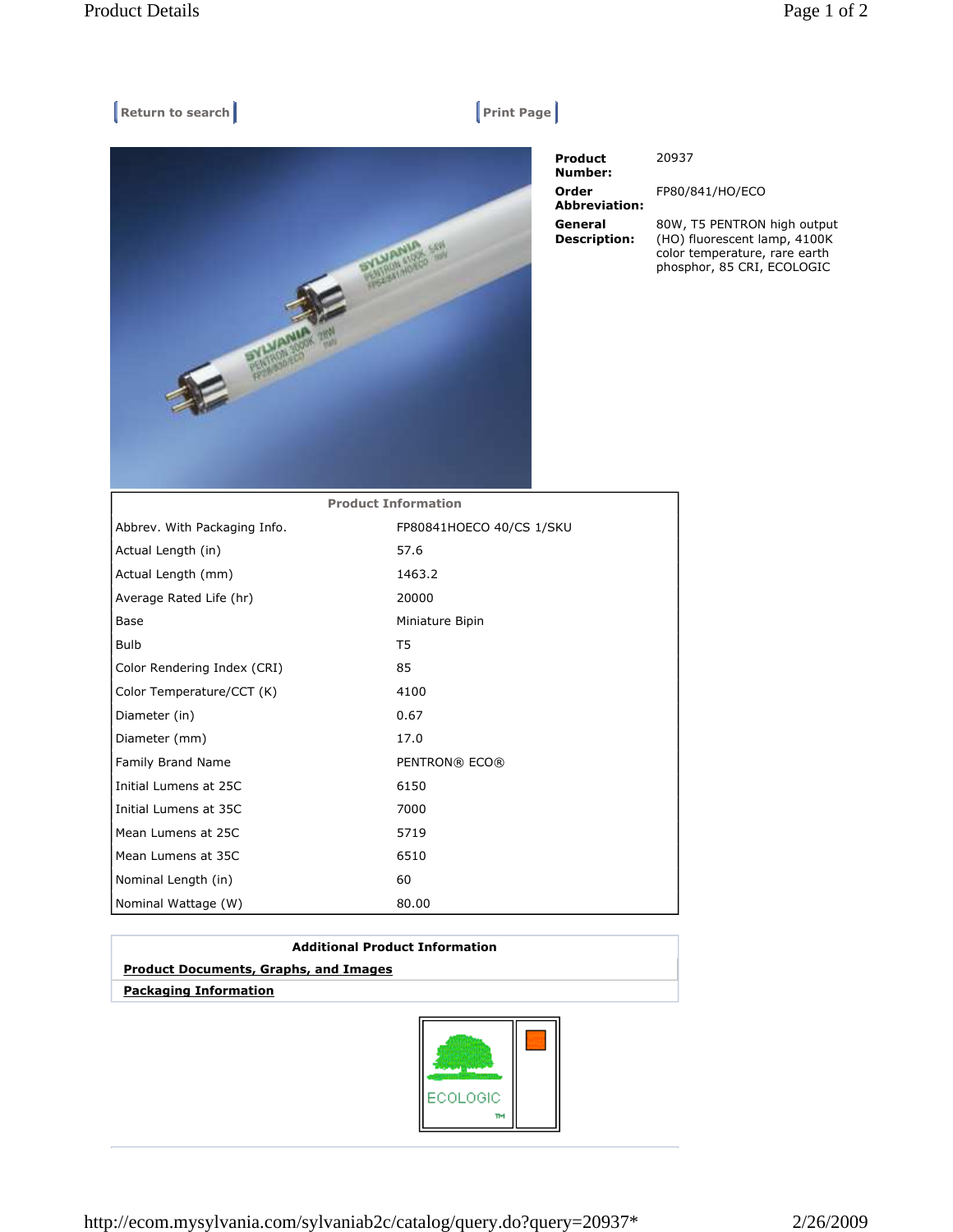## $\begin{bmatrix} \mathsf{Return to search} \end{bmatrix}$



| <b>Product</b><br>Number:      | 20937                                                                                        |
|--------------------------------|----------------------------------------------------------------------------------------------|
| Order<br><b>Abbreviation:</b>  | FP80/841/HO/ECO                                                                              |
| General<br><b>Description:</b> | 80W, T5 PENTRON high output<br>(HO) fluorescent lamp, 4100K<br>color temperature, rare earth |

phosphor, 85 CRI, ECOLOGIC

| <b>Product Information</b>   |                          |  |
|------------------------------|--------------------------|--|
| Abbrev. With Packaging Info. | FP80841HOECO 40/CS 1/SKU |  |
| Actual Length (in)           | 57.6                     |  |
| Actual Length (mm)           | 1463.2                   |  |
| Average Rated Life (hr)      | 20000                    |  |
| Base                         | Miniature Bipin          |  |
| <b>Bulb</b>                  | T5                       |  |
| Color Rendering Index (CRI)  | 85                       |  |
| Color Temperature/CCT (K)    | 4100                     |  |
| Diameter (in)                | 0.67                     |  |
| Diameter (mm)                | 17.0                     |  |
| Family Brand Name            | PENTRON® ECO®            |  |
| Initial Lumens at 25C        | 6150                     |  |
| Initial Lumens at 35C        | 7000                     |  |
| Mean Lumens at 25C           | 5719                     |  |
| Mean Lumens at 35C           | 6510                     |  |
| Nominal Length (in)          | 60                       |  |
| Nominal Wattage (W)          | 80.00                    |  |

| <b>Additional Product Information</b>        |  |
|----------------------------------------------|--|
| <b>Product Documents, Graphs, and Images</b> |  |
| <b>Packaging Information</b>                 |  |